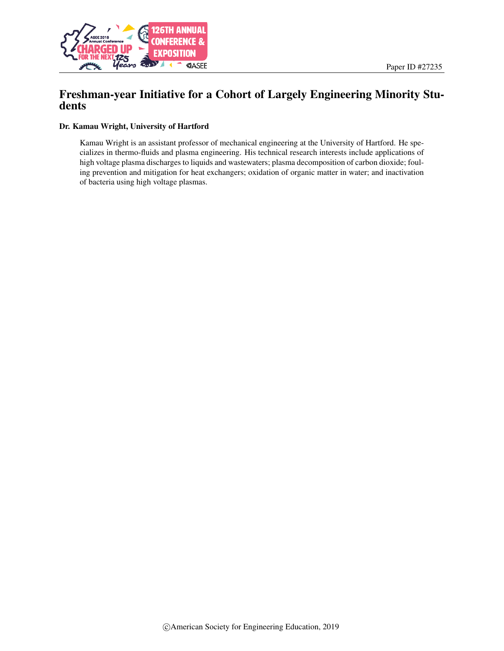

# Freshman-year Initiative for a Cohort of Largely Engineering Minority Students

#### Dr. Kamau Wright, University of Hartford

Kamau Wright is an assistant professor of mechanical engineering at the University of Hartford. He specializes in thermo-fluids and plasma engineering. His technical research interests include applications of high voltage plasma discharges to liquids and wastewaters; plasma decomposition of carbon dioxide; fouling prevention and mitigation for heat exchangers; oxidation of organic matter in water; and inactivation of bacteria using high voltage plasmas.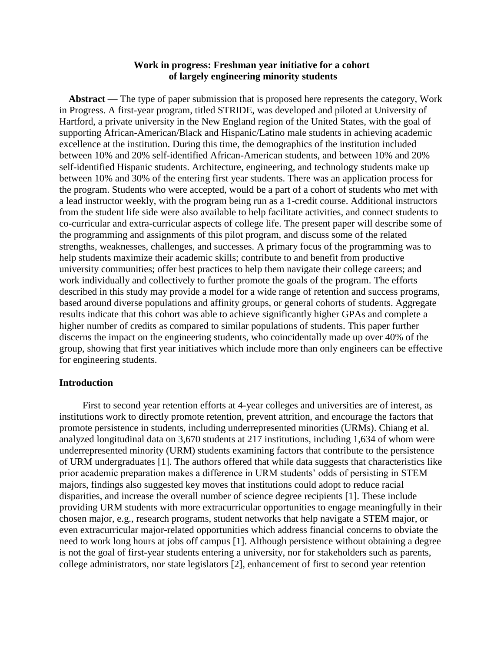# **Work in progress: Freshman year initiative for a cohort of largely engineering minority students**

**Abstract —** The type of paper submission that is proposed here represents the category, Work in Progress. A first-year program, titled STRIDE, was developed and piloted at University of Hartford, a private university in the New England region of the United States, with the goal of supporting African-American/Black and Hispanic/Latino male students in achieving academic excellence at the institution. During this time, the demographics of the institution included between 10% and 20% self-identified African-American students, and between 10% and 20% self-identified Hispanic students. Architecture, engineering, and technology students make up between 10% and 30% of the entering first year students. There was an application process for the program. Students who were accepted, would be a part of a cohort of students who met with a lead instructor weekly, with the program being run as a 1-credit course. Additional instructors from the student life side were also available to help facilitate activities, and connect students to co-curricular and extra-curricular aspects of college life. The present paper will describe some of the programming and assignments of this pilot program, and discuss some of the related strengths, weaknesses, challenges, and successes. A primary focus of the programming was to help students maximize their academic skills; contribute to and benefit from productive university communities; offer best practices to help them navigate their college careers; and work individually and collectively to further promote the goals of the program. The efforts described in this study may provide a model for a wide range of retention and success programs, based around diverse populations and affinity groups, or general cohorts of students. Aggregate results indicate that this cohort was able to achieve significantly higher GPAs and complete a higher number of credits as compared to similar populations of students. This paper further discerns the impact on the engineering students, who coincidentally made up over 40% of the group, showing that first year initiatives which include more than only engineers can be effective for engineering students.

#### **Introduction**

First to second year retention efforts at 4-year colleges and universities are of interest, as institutions work to directly promote retention, prevent attrition, and encourage the factors that promote persistence in students, including underrepresented minorities (URMs). Chiang et al. analyzed longitudinal data on 3,670 students at 217 institutions, including 1,634 of whom were underrepresented minority (URM) students examining factors that contribute to the persistence of URM undergraduates [1]. The authors offered that while data suggests that characteristics like prior academic preparation makes a difference in URM students' odds of persisting in STEM majors, findings also suggested key moves that institutions could adopt to reduce racial disparities, and increase the overall number of science degree recipients [1]. These include providing URM students with more extracurricular opportunities to engage meaningfully in their chosen major, e.g., research programs, student networks that help navigate a STEM major, or even extracurricular major-related opportunities which address financial concerns to obviate the need to work long hours at jobs off campus [1]. Although persistence without obtaining a degree is not the goal of first-year students entering a university, nor for stakeholders such as parents, college administrators, nor state legislators [2], enhancement of first to second year retention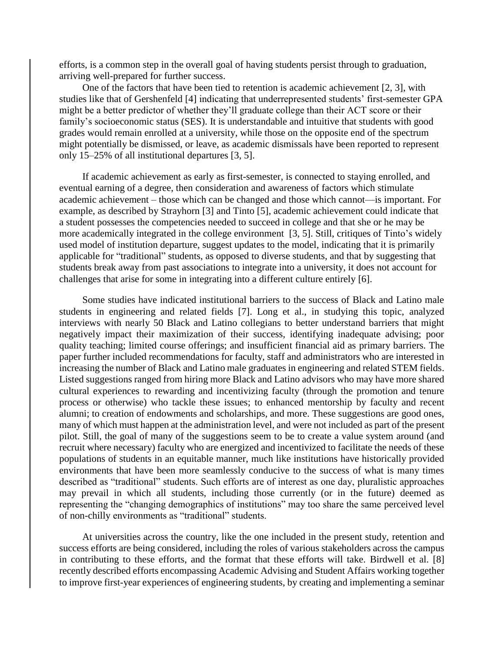efforts, is a common step in the overall goal of having students persist through to graduation, arriving well-prepared for further success.

One of the factors that have been tied to retention is academic achievement [2, 3], with studies like that of Gershenfeld [4] indicating that underrepresented students' first-semester GPA might be a better predictor of whether they'll graduate college than their ACT score or their family's socioeconomic status (SES). It is understandable and intuitive that students with good grades would remain enrolled at a university, while those on the opposite end of the spectrum might potentially be dismissed, or leave, as academic dismissals have been reported to represent only 15–25% of all institutional departures [3, 5].

If academic achievement as early as first-semester, is connected to staying enrolled, and eventual earning of a degree, then consideration and awareness of factors which stimulate academic achievement – those which can be changed and those which cannot—is important. For example, as described by Strayhorn [3] and Tinto [5], academic achievement could indicate that a student possesses the competencies needed to succeed in college and that she or he may be more academically integrated in the college environment [3, 5]. Still, critiques of Tinto's widely used model of institution departure, suggest updates to the model, indicating that it is primarily applicable for "traditional" students, as opposed to diverse students, and that by suggesting that students break away from past associations to integrate into a university, it does not account for challenges that arise for some in integrating into a different culture entirely [6].

Some studies have indicated institutional barriers to the success of Black and Latino male students in engineering and related fields [7]. Long et al., in studying this topic, analyzed interviews with nearly 50 Black and Latino collegians to better understand barriers that might negatively impact their maximization of their success, identifying inadequate advising; poor quality teaching; limited course offerings; and insufficient financial aid as primary barriers. The paper further included recommendations for faculty, staff and administrators who are interested in increasing the number of Black and Latino male graduates in engineering and related STEM fields. Listed suggestions ranged from hiring more Black and Latino advisors who may have more shared cultural experiences to rewarding and incentivizing faculty (through the promotion and tenure process or otherwise) who tackle these issues; to enhanced mentorship by faculty and recent alumni; to creation of endowments and scholarships, and more. These suggestions are good ones, many of which must happen at the administration level, and were not included as part of the present pilot. Still, the goal of many of the suggestions seem to be to create a value system around (and recruit where necessary) faculty who are energized and incentivized to facilitate the needs of these populations of students in an equitable manner, much like institutions have historically provided environments that have been more seamlessly conducive to the success of what is many times described as "traditional" students. Such efforts are of interest as one day, pluralistic approaches may prevail in which all students, including those currently (or in the future) deemed as representing the "changing demographics of institutions" may too share the same perceived level of non-chilly environments as "traditional" students.

At universities across the country, like the one included in the present study, retention and success efforts are being considered, including the roles of various stakeholders across the campus in contributing to these efforts, and the format that these efforts will take. Birdwell et al. [8] recently described efforts encompassing Academic Advising and Student Affairs working together to improve first-year experiences of engineering students, by creating and implementing a seminar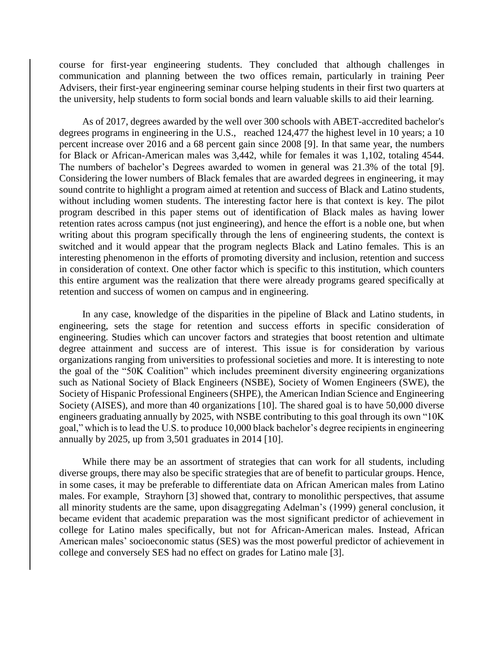course for first-year engineering students. They concluded that although challenges in communication and planning between the two offices remain, particularly in training Peer Advisers, their first-year engineering seminar course helping students in their first two quarters at the university, help students to form social bonds and learn valuable skills to aid their learning.

As of 2017, degrees awarded by the well over 300 schools with ABET-accredited bachelor's degrees programs in engineering in the U.S., reached 124,477 the highest level in 10 years; a 10 percent increase over 2016 and a 68 percent gain since 2008 [9]. In that same year, the numbers for Black or African-American males was 3,442, while for females it was 1,102, totaling 4544. The numbers of bachelor's Degrees awarded to women in general was 21.3% of the total [9]. Considering the lower numbers of Black females that are awarded degrees in engineering, it may sound contrite to highlight a program aimed at retention and success of Black and Latino students, without including women students. The interesting factor here is that context is key. The pilot program described in this paper stems out of identification of Black males as having lower retention rates across campus (not just engineering), and hence the effort is a noble one, but when writing about this program specifically through the lens of engineering students, the context is switched and it would appear that the program neglects Black and Latino females. This is an interesting phenomenon in the efforts of promoting diversity and inclusion, retention and success in consideration of context. One other factor which is specific to this institution, which counters this entire argument was the realization that there were already programs geared specifically at retention and success of women on campus and in engineering.

In any case, knowledge of the disparities in the pipeline of Black and Latino students, in engineering, sets the stage for retention and success efforts in specific consideration of engineering. Studies which can uncover factors and strategies that boost retention and ultimate degree attainment and success are of interest. This issue is for consideration by various organizations ranging from universities to professional societies and more. It is interesting to note the goal of the "50K Coalition" which includes preeminent diversity engineering organizations such as National Society of Black Engineers (NSBE), Society of Women Engineers (SWE), the Society of Hispanic Professional Engineers (SHPE), the American Indian Science and Engineering Society (AISES), and more than 40 organizations [10]. The shared goal is to have 50,000 diverse engineers graduating annually by 2025, with NSBE contributing to this goal through its own "10K goal," which is to lead the U.S. to produce 10,000 black bachelor's degree recipients in engineering annually by 2025, up from 3,501 graduates in 2014 [10].

While there may be an assortment of strategies that can work for all students, including diverse groups, there may also be specific strategies that are of benefit to particular groups. Hence, in some cases, it may be preferable to differentiate data on African American males from Latino males. For example, Strayhorn [3] showed that, contrary to monolithic perspectives, that assume all minority students are the same, upon disaggregating Adelman's (1999) general conclusion, it became evident that academic preparation was the most significant predictor of achievement in college for Latino males specifically, but not for African-American males. Instead, African American males' socioeconomic status (SES) was the most powerful predictor of achievement in college and conversely SES had no effect on grades for Latino male [3].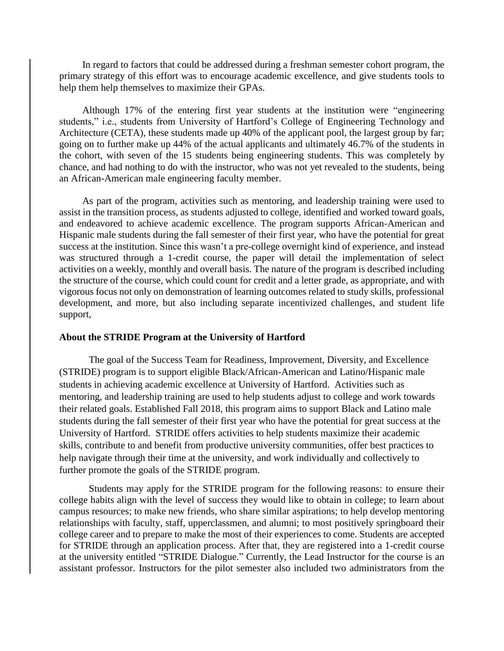In regard to factors that could be addressed during a freshman semester cohort program, the primary strategy of this effort was to encourage academic excellence, and give students tools to help them help themselves to maximize their GPAs.

Although 17% of the entering first year students at the institution were "engineering students," i.e., students from University of Hartford's College of Engineering Technology and Architecture (CETA), these students made up 40% of the applicant pool, the largest group by far; going on to further make up 44% of the actual applicants and ultimately 46.7% of the students in the cohort, with seven of the 15 students being engineering students. This was completely by chance, and had nothing to do with the instructor, who was not yet revealed to the students, being an African-American male engineering faculty member.

As part of the program, activities such as mentoring, and leadership training were used to assist in the transition process, as students adjusted to college, identified and worked toward goals, and endeavored to achieve academic excellence. The program supports African-American and Hispanic male students during the fall semester of their first year, who have the potential for great success at the institution. Since this wasn't a pre-college overnight kind of experience, and instead was structured through a 1-credit course, the paper will detail the implementation of select activities on a weekly, monthly and overall basis. The nature of the program is described including the structure of the course, which could count for credit and a letter grade, as appropriate, and with vigorous focus not only on demonstration of learning outcomes related to study skills, professional development, and more, but also including separate incentivized challenges, and student life support,

#### **About the STRIDE Program at the University of Hartford**

The goal of the Success Team for Readiness, Improvement, Diversity, and Excellence (STRIDE) program is to support eligible Black/African-American and Latino/Hispanic male students in achieving academic excellence at University of Hartford. Activities such as mentoring, and leadership training are used to help students adjust to college and work towards their related goals. Established Fall 2018, this program aims to support Black and Latino male students during the fall semester of their first year who have the potential for great success at the University of Hartford. STRIDE offers activities to help students maximize their academic skills, contribute to and benefit from productive university communities, offer best practices to help navigate through their time at the university, and work individually and collectively to further promote the goals of the STRIDE program.

Students may apply for the STRIDE program for the following reasons: to ensure their college habits align with the level of success they would like to obtain in college; to learn about campus resources; to make new friends, who share similar aspirations; to help develop mentoring relationships with faculty, staff, upperclassmen, and alumni; to most positively springboard their college career and to prepare to make the most of their experiences to come. Students are accepted for STRIDE through an application process. After that, they are registered into a 1-credit course at the university entitled "STRIDE Dialogue." Currently, the Lead Instructor for the course is an assistant professor. Instructors for the pilot semester also included two administrators from the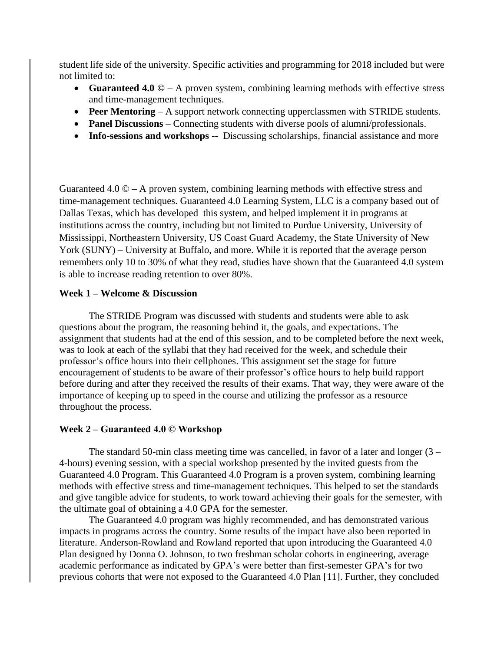student life side of the university. Specific activities and programming for 2018 included but were not limited to:

- Guaranteed 4.0 © A proven system, combining learning methods with effective stress and time-management techniques.
- **Peer Mentoring** A support network connecting upperclassmen with STRIDE students.
- **Panel Discussions** Connecting students with diverse pools of alumni/professionals.
- **Info-sessions and workshops --** Discussing scholarships, financial assistance and more

Guaranteed 4.0 © **–** A proven system, combining learning methods with effective stress and time-management techniques. Guaranteed 4.0 Learning System, LLC is a company based out of Dallas Texas, which has developed this system, and helped implement it in programs at institutions across the country, including but not limited to Purdue University, University of Mississippi, Northeastern University, US Coast Guard Academy, the State University of New York (SUNY) – University at Buffalo, and more. While it is reported that the average person remembers only 10 to 30% of what they read, studies have shown that the Guaranteed 4.0 system is able to increase reading retention to over 80%.

# **Week 1 – Welcome & Discussion**

The STRIDE Program was discussed with students and students were able to ask questions about the program, the reasoning behind it, the goals, and expectations. The assignment that students had at the end of this session, and to be completed before the next week, was to look at each of the syllabi that they had received for the week, and schedule their professor's office hours into their cellphones. This assignment set the stage for future encouragement of students to be aware of their professor's office hours to help build rapport before during and after they received the results of their exams. That way, they were aware of the importance of keeping up to speed in the course and utilizing the professor as a resource throughout the process.

#### **Week 2 – Guaranteed 4.0 © Workshop**

The standard 50-min class meeting time was cancelled, in favor of a later and longer  $(3 -$ 4-hours) evening session, with a special workshop presented by the invited guests from the Guaranteed 4.0 Program. This Guaranteed 4.0 Program is a proven system, combining learning methods with effective stress and time-management techniques. This helped to set the standards and give tangible advice for students, to work toward achieving their goals for the semester, with the ultimate goal of obtaining a 4.0 GPA for the semester.

The Guaranteed 4.0 program was highly recommended, and has demonstrated various impacts in programs across the country. Some results of the impact have also been reported in literature. Anderson-Rowland and Rowland reported that upon introducing the Guaranteed 4.0 Plan designed by Donna O. Johnson, to two freshman scholar cohorts in engineering, average academic performance as indicated by GPA's were better than first-semester GPA's for two previous cohorts that were not exposed to the Guaranteed 4.0 Plan [11]. Further, they concluded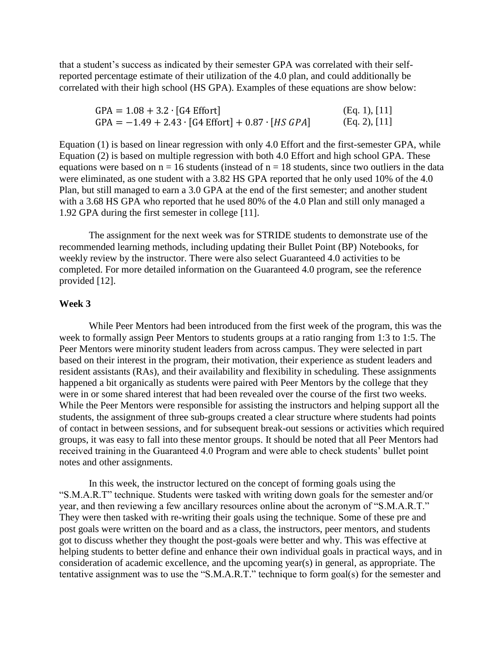that a student's success as indicated by their semester GPA was correlated with their selfreported percentage estimate of their utilization of the 4.0 plan, and could additionally be correlated with their high school (HS GPA). Examples of these equations are show below:

| $GPA = 1.08 + 3.2 \cdot [G4 \text{ Effort}]$                                 | (Eq. 1), [11] |
|------------------------------------------------------------------------------|---------------|
| $GPA = -1.49 + 2.43 \cdot [G4 \text{ Effort}] + 0.87 \cdot [HS \text{ GPA}]$ | (Eq. 2), [11] |

Equation (1) is based on linear regression with only 4.0 Effort and the first-semester GPA, while Equation (2) is based on multiple regression with both 4.0 Effort and high school GPA. These equations were based on  $n = 16$  students (instead of  $n = 18$  students, since two outliers in the data were eliminated, as one student with a 3.82 HS GPA reported that he only used 10% of the 4.0 Plan, but still managed to earn a 3.0 GPA at the end of the first semester; and another student with a 3.68 HS GPA who reported that he used 80% of the 4.0 Plan and still only managed a 1.92 GPA during the first semester in college [11].

The assignment for the next week was for STRIDE students to demonstrate use of the recommended learning methods, including updating their Bullet Point (BP) Notebooks, for weekly review by the instructor. There were also select Guaranteed 4.0 activities to be completed. For more detailed information on the Guaranteed 4.0 program, see the reference provided [12].

#### **Week 3**

While Peer Mentors had been introduced from the first week of the program, this was the week to formally assign Peer Mentors to students groups at a ratio ranging from 1:3 to 1:5. The Peer Mentors were minority student leaders from across campus. They were selected in part based on their interest in the program, their motivation, their experience as student leaders and resident assistants (RAs), and their availability and flexibility in scheduling. These assignments happened a bit organically as students were paired with Peer Mentors by the college that they were in or some shared interest that had been revealed over the course of the first two weeks. While the Peer Mentors were responsible for assisting the instructors and helping support all the students, the assignment of three sub-groups created a clear structure where students had points of contact in between sessions, and for subsequent break-out sessions or activities which required groups, it was easy to fall into these mentor groups. It should be noted that all Peer Mentors had received training in the Guaranteed 4.0 Program and were able to check students' bullet point notes and other assignments.

In this week, the instructor lectured on the concept of forming goals using the "S.M.A.R.T" technique. Students were tasked with writing down goals for the semester and/or year, and then reviewing a few ancillary resources online about the acronym of "S.M.A.R.T." They were then tasked with re-writing their goals using the technique. Some of these pre and post goals were written on the board and as a class, the instructors, peer mentors, and students got to discuss whether they thought the post-goals were better and why. This was effective at helping students to better define and enhance their own individual goals in practical ways, and in consideration of academic excellence, and the upcoming year(s) in general, as appropriate. The tentative assignment was to use the "S.M.A.R.T." technique to form goal(s) for the semester and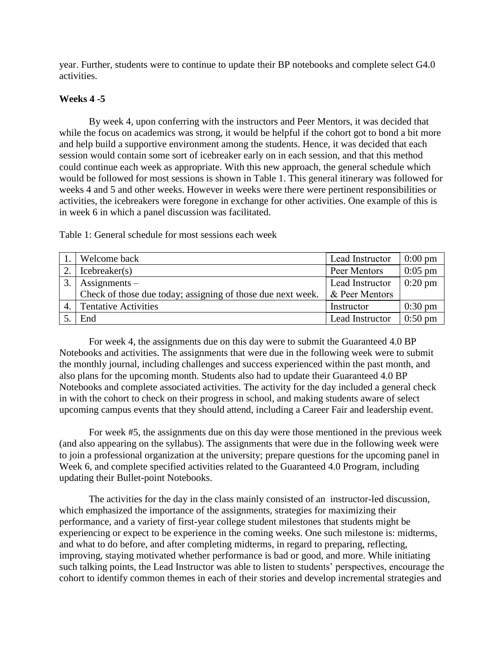year. Further, students were to continue to update their BP notebooks and complete select G4.0 activities.

# **Weeks 4 -5**

By week 4, upon conferring with the instructors and Peer Mentors, it was decided that while the focus on academics was strong, it would be helpful if the cohort got to bond a bit more and help build a supportive environment among the students. Hence, it was decided that each session would contain some sort of icebreaker early on in each session, and that this method could continue each week as appropriate. With this new approach, the general schedule which would be followed for most sessions is shown in Table 1. This general itinerary was followed for weeks 4 and 5 and other weeks. However in weeks were there were pertinent responsibilities or activities, the icebreakers were foregone in exchange for other activities. One example of this is in week 6 in which a panel discussion was facilitated.

1. Welcome back Lead Instructor 10:00 pm 2. | Icebreaker(s) Peer Mentors | 0:05 pm  $3.$  Assignments – Check of those due today; assigning of those due next week. Lead Instructor & Peer Mentors

Table 1: General schedule for most sessions each week

For week 4, the assignments due on this day were to submit the Guaranteed 4.0 BP Notebooks and activities. The assignments that were due in the following week were to submit the monthly journal, including challenges and success experienced within the past month, and also plans for the upcoming month. Students also had to update their Guaranteed 4.0 BP Notebooks and complete associated activities. The activity for the day included a general check in with the cohort to check on their progress in school, and making students aware of select upcoming campus events that they should attend, including a Career Fair and leadership event.

4. Tentative Activities 1. Instructor 1. 1.30 pm 5. End Lead Instructor 0:50 pm

0:20 pm

For week #5, the assignments due on this day were those mentioned in the previous week (and also appearing on the syllabus). The assignments that were due in the following week were to join a professional organization at the university; prepare questions for the upcoming panel in Week 6, and complete specified activities related to the Guaranteed 4.0 Program, including updating their Bullet-point Notebooks.

The activities for the day in the class mainly consisted of an instructor-led discussion, which emphasized the importance of the assignments, strategies for maximizing their performance, and a variety of first-year college student milestones that students might be experiencing or expect to be experience in the coming weeks. One such milestone is: midterms, and what to do before, and after completing midterms, in regard to preparing, reflecting, improving, staying motivated whether performance is bad or good, and more. While initiating such talking points, the Lead Instructor was able to listen to students' perspectives, encourage the cohort to identify common themes in each of their stories and develop incremental strategies and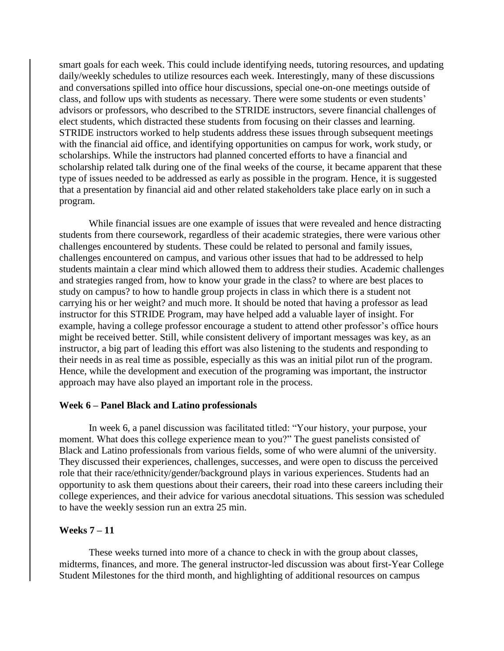smart goals for each week. This could include identifying needs, tutoring resources, and updating daily/weekly schedules to utilize resources each week. Interestingly, many of these discussions and conversations spilled into office hour discussions, special one-on-one meetings outside of class, and follow ups with students as necessary. There were some students or even students' advisors or professors, who described to the STRIDE instructors, severe financial challenges of elect students, which distracted these students from focusing on their classes and learning. STRIDE instructors worked to help students address these issues through subsequent meetings with the financial aid office, and identifying opportunities on campus for work, work study, or scholarships. While the instructors had planned concerted efforts to have a financial and scholarship related talk during one of the final weeks of the course, it became apparent that these type of issues needed to be addressed as early as possible in the program. Hence, it is suggested that a presentation by financial aid and other related stakeholders take place early on in such a program.

While financial issues are one example of issues that were revealed and hence distracting students from there coursework, regardless of their academic strategies, there were various other challenges encountered by students. These could be related to personal and family issues, challenges encountered on campus, and various other issues that had to be addressed to help students maintain a clear mind which allowed them to address their studies. Academic challenges and strategies ranged from, how to know your grade in the class? to where are best places to study on campus? to how to handle group projects in class in which there is a student not carrying his or her weight? and much more. It should be noted that having a professor as lead instructor for this STRIDE Program, may have helped add a valuable layer of insight. For example, having a college professor encourage a student to attend other professor's office hours might be received better. Still, while consistent delivery of important messages was key, as an instructor, a big part of leading this effort was also listening to the students and responding to their needs in as real time as possible, especially as this was an initial pilot run of the program. Hence, while the development and execution of the programing was important, the instructor approach may have also played an important role in the process.

#### **Week 6 – Panel Black and Latino professionals**

In week 6, a panel discussion was facilitated titled: "Your history, your purpose, your moment. What does this college experience mean to you?" The guest panelists consisted of Black and Latino professionals from various fields, some of who were alumni of the university. They discussed their experiences, challenges, successes, and were open to discuss the perceived role that their race/ethnicity/gender/background plays in various experiences. Students had an opportunity to ask them questions about their careers, their road into these careers including their college experiences, and their advice for various anecdotal situations. This session was scheduled to have the weekly session run an extra 25 min.

#### **Weeks 7 – 11**

These weeks turned into more of a chance to check in with the group about classes, midterms, finances, and more. The general instructor-led discussion was about first-Year College Student Milestones for the third month, and highlighting of additional resources on campus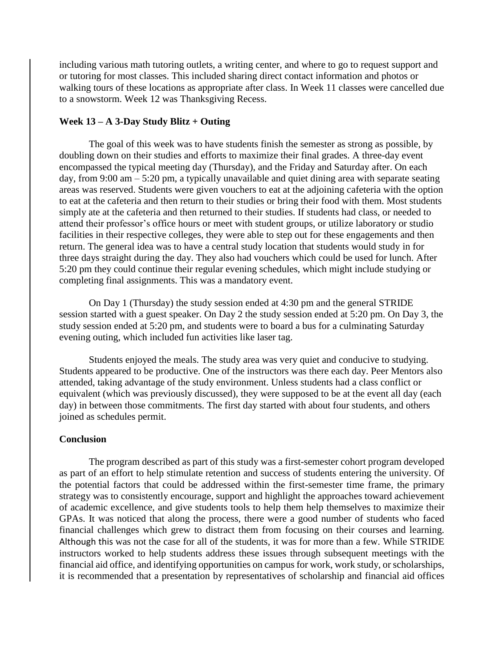including various math tutoring outlets, a writing center, and where to go to request support and or tutoring for most classes. This included sharing direct contact information and photos or walking tours of these locations as appropriate after class. In Week 11 classes were cancelled due to a snowstorm. Week 12 was Thanksgiving Recess.

# **Week 13 – A 3-Day Study Blitz + Outing**

The goal of this week was to have students finish the semester as strong as possible, by doubling down on their studies and efforts to maximize their final grades. A three-day event encompassed the typical meeting day (Thursday), and the Friday and Saturday after. On each day, from 9:00 am – 5:20 pm, a typically unavailable and quiet dining area with separate seating areas was reserved. Students were given vouchers to eat at the adjoining cafeteria with the option to eat at the cafeteria and then return to their studies or bring their food with them. Most students simply ate at the cafeteria and then returned to their studies. If students had class, or needed to attend their professor's office hours or meet with student groups, or utilize laboratory or studio facilities in their respective colleges, they were able to step out for these engagements and then return. The general idea was to have a central study location that students would study in for three days straight during the day. They also had vouchers which could be used for lunch. After 5:20 pm they could continue their regular evening schedules, which might include studying or completing final assignments. This was a mandatory event.

On Day 1 (Thursday) the study session ended at 4:30 pm and the general STRIDE session started with a guest speaker. On Day 2 the study session ended at 5:20 pm. On Day 3, the study session ended at 5:20 pm, and students were to board a bus for a culminating Saturday evening outing, which included fun activities like laser tag.

Students enjoyed the meals. The study area was very quiet and conducive to studying. Students appeared to be productive. One of the instructors was there each day. Peer Mentors also attended, taking advantage of the study environment. Unless students had a class conflict or equivalent (which was previously discussed), they were supposed to be at the event all day (each day) in between those commitments. The first day started with about four students, and others joined as schedules permit.

# **Conclusion**

The program described as part of this study was a first-semester cohort program developed as part of an effort to help stimulate retention and success of students entering the university. Of the potential factors that could be addressed within the first-semester time frame, the primary strategy was to consistently encourage, support and highlight the approaches toward achievement of academic excellence, and give students tools to help them help themselves to maximize their GPAs. It was noticed that along the process, there were a good number of students who faced financial challenges which grew to distract them from focusing on their courses and learning. Although this was not the case for all of the students, it was for more than a few. While STRIDE instructors worked to help students address these issues through subsequent meetings with the financial aid office, and identifying opportunities on campus for work, work study, or scholarships, it is recommended that a presentation by representatives of scholarship and financial aid offices